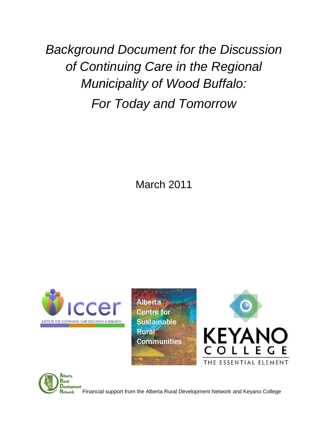*Background Document for the Discussion of Continuing Care in the Regional Municipality of Wood Buffalo: For Today and Tomorrow*

March 2011



**Alberta Centre for Sustainable Rural Communities** 





Financial support from the Alberta Rural Development Network and Keyano College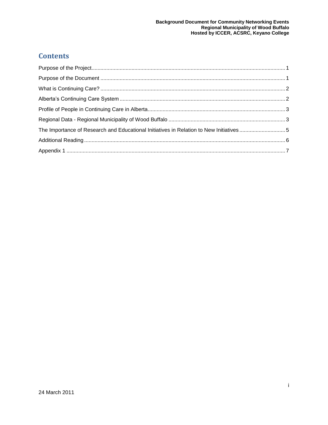#### **Contents**

| The Importance of Research and Educational Initiatives in Relation to New Initiatives 5 |  |
|-----------------------------------------------------------------------------------------|--|
|                                                                                         |  |
|                                                                                         |  |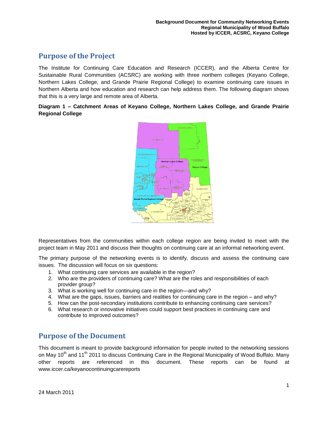#### <span id="page-2-0"></span>**Purpose of the Project**

The Institute for Continuing Care Education and Research (ICCER), and the Alberta Centre for Sustainable Rural Communities (ACSRC) are working with three northern colleges (Keyano College, Northern Lakes College, and Grande Prairie Regional College) to examine continuing care issues in Northern Alberta and how education and research can help address them. The following diagram shows that this is a very large and remote area of Alberta.

#### **Diagram 1 – Catchment Areas of Keyano College, Northern Lakes College, and Grande Prairie Regional College**



Representatives from the communities within each college region are being invited to meet with the project team in May 2011 and discuss their thoughts on continuing care at an informal networking event.

The primary purpose of the networking events is to identify, discuss and assess the continuing care issues. The discussion will focus on six questions:

- 1. What continuing care services are available in the region?
- 2. Who are the providers of continuing care? What are the roles and responsibilities of each provider group?
- 3. What is working well for continuing care in the region—and why?
- 4. What are the gaps, issues, barriers and realities for continuing care in the region and why?
- 5. How can the post-secondary institutions contribute to enhancing continuing care services?
- 6. What research or innovative initiatives could support best practices in continuing care and contribute to improved outcomes?

#### <span id="page-2-1"></span>**Purpose of the Document**

This document is meant to provide background information for people invited to the networking sessions on May 10<sup>th</sup> and 11<sup>th</sup> 2011 to discuss Continuing Care in the Regional Municipality of Wood Buffalo. Many other reports are referenced in this document. These reports can be found at [www.iccer.ca/keyanocontinuingcarereports](http://www.iccer.ca/keyanocontinuingcarereports)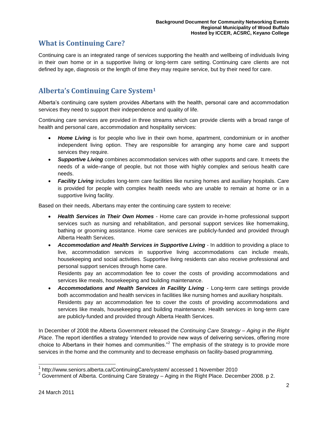### <span id="page-3-0"></span>**What is Continuing Care?**

Continuing care is an integrated range of services supporting the health and wellbeing of individuals living in their own home or in a supportive living or long-term care setting. Continuing care clients are not defined by age, diagnosis or the length of time they may require service, but by their need for care.

## <span id="page-3-1"></span>**Alberta's Continuing Care System<sup>1</sup>**

Alberta's continuing care system provides Albertans with the health, personal care and accommodation services they need to support their independence and quality of life.

Continuing care services are provided in three streams which can provide clients with a broad range of health and personal care, accommodation and hospitality services:

- *[Home Living](http://www.seniors.alberta.ca/ContinuingCare/system/#homecare)* is for people who live in their own home, apartment, condominium or in another independent living option. They are responsible for arranging any home care and support services they require.
- *[Supportive Living](http://www.seniors.alberta.ca/ContinuingCare/system/#accommodation)* combines accommodation services with other supports and care. It meets the needs of a wide–range of people, but not those with highly complex and serious health care needs.
- *[Facility Living](http://www.seniors.alberta.ca/ContinuingCare/system/#healthservices)* includes long-term care facilities like nursing homes and auxiliary hospitals. Care is provided for people with complex health needs who are unable to remain at home or in a supportive living facility.

Based on their needs, Albertans may enter the continuing care system to receive:

- *Health Services in Their Own Homes* Home care can provide in-home professional support services such as nursing and rehabilitation, and personal support services like homemaking, bathing or grooming assistance. Home care services are publicly-funded and provided through Alberta Health Services.
- *Accommodation and Health Services in Supportive Living* In addition to providing a place to live, accommodation services in supportive living accommodations can include meals, housekeeping and social activities. Supportive living residents can also receive professional and personal support services through home care.

Residents pay an accommodation fee to cover the costs of providing accommodations and services like meals, housekeeping and building maintenance.

 *Accommodations and Health Services in Facility Living* - Long-term care settings provide both accommodation and health services in facilities like nursing homes and auxiliary hospitals. Residents pay an [accommodation fee](http://www.seniors.alberta.ca/ContinuingCare/LTCare.asp) to cover the costs of providing accommodations and services like meals, housekeeping and building maintenance. Health services in long-term care are publicly-funded and provided through Alberta Health Services.

In December of 2008 the Alberta Government released the *Continuing Care Strategy – Aging in the Right*  Place. The report identifies a strategy 'intended to provide new ways of delivering services, offering more choice to Albertans in their homes and communities."<sup>2</sup> The emphasis of the strategy is to provide more services in the home and the community and to decrease emphasis on facility-based programming.

 1 http://www.seniors.alberta.ca/ContinuingCare/system/ accessed 1 November 2010

 $2$  Government of Alberta. Continuing Care Strategy – Aging in the Right Place. December 2008. p 2.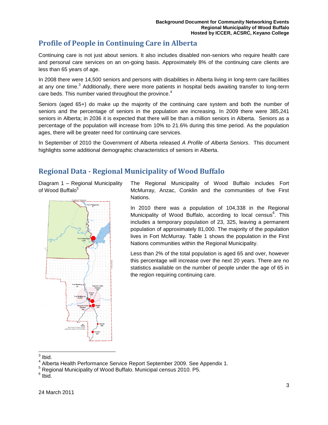### <span id="page-4-0"></span>**Profile of People in Continuing Care in Alberta**

Continuing care is not just about seniors. It also includes disabled non-seniors who require health care and personal care services on an on-going basis. Approximately 8% of the continuing care clients are less than 65 years of age.

In 2008 there were 14,500 seniors and persons with disabilities in Alberta living in long-term care facilities at any one time.<sup>3</sup> Additionally, there were more patients in hospital beds awaiting transfer to long-term care beds. This number varied throughout the province.<sup>4</sup>

Seniors (aged 65+) do make up the majority of the continuing care system and both the number of seniors and the percentage of seniors in the population are increasing. In 2009 there were 385,241 seniors in Alberta; in 2036 it is expected that there will be than a million seniors in Alberta. Seniors as a percentage of the population will increase from 10% to 21.6% during this time period. As the population ages, there will be greater need for continuing care services.

In September of 2010 the Government of Alberta released *A Profile of Alberta Seniors*. This document highlights some additional demographic characteristics of seniors in Alberta.

#### <span id="page-4-1"></span>**Regional Data - Regional Municipality of Wood Buffalo**

Diagram 1 – Regional Municipality of Wood Buffalo<sup>5</sup>



The Regional Municipality of Wood Buffalo includes Fort McMurray, Anzac, Conklin and the communities of five First Nations.

In 2010 there was a population of 104,338 in the Regional Municipality of Wood Buffalo, according to local census<sup>6</sup>. This includes a temporary population of 23, 325, leaving a permanent population of approximately 81,000. The majority of the population lives in Fort McMurray. Table 1 shows the population in the First Nations communities within the Regional Municipality.

Less than 2% of the total population is aged 65 and over, however this percentage will increase over the next 20 years. There are no statistics available on the number of people under the age of 65 in the region requiring continuing care.

 $\frac{1}{3}$  Ibid.

<sup>&</sup>lt;sup>4</sup> Alberta Health Performance Service Report September 2009. See Appendix 1.

<sup>5</sup> Regional Municipality of Wood Buffalo. Municipal census 2010. P5.

 $6$  Ibid.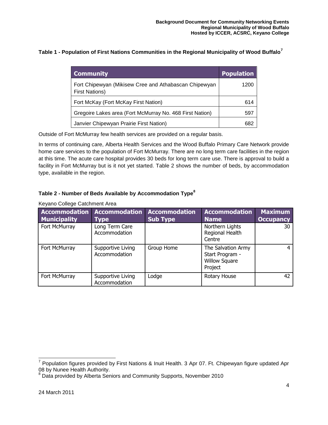**Table 1 - Population of First Nations Communities in the Regional Municipality of Wood Buffalo<sup>7</sup>**

| <b>Community</b>                                                               | <b>Population</b> |
|--------------------------------------------------------------------------------|-------------------|
| Fort Chipewyan (Mikisew Cree and Athabascan Chipewyan<br><b>First Nations)</b> | 1200              |
| Fort McKay (Fort McKay First Nation)                                           | 614               |
| Gregoire Lakes area (Fort McMurray No. 468 First Nation)                       | 597               |
| Janvier Chipewyan Prairie First Nation)                                        | 682               |

Outside of Fort McMurray few health services are provided on a regular basis.

In terms of continuing care, Alberta Health Services and the Wood Buffalo Primary Care Network provide home care services to the population of Fort McMurray. There are no long term care facilities in the region at this time. The acute care hospital provides 30 beds for long term care use. There is approval to build a facility in Fort McMurray but is it not yet started. Table 2 shows the number of beds, by accommodation type, available in the region.

#### **Table 2 - Number of Beds Available by Accommodation Type<sup>8</sup>**

| <b>Accommodation</b><br><b>Municipality</b> | <b>Accommodation</b><br>Type       | <b>Accommodation</b><br><b>Sub Type</b> | <b>Accommodation</b><br>Name                                             | <b>Maximum</b><br><b>Occupancy</b> |
|---------------------------------------------|------------------------------------|-----------------------------------------|--------------------------------------------------------------------------|------------------------------------|
| Fort McMurray                               | Long Term Care<br>Accommodation    |                                         | Northern Lights<br>Regional Health<br>Centre                             | 30                                 |
| Fort McMurray                               | Supportive Living<br>Accommodation | Group Home                              | The Salvation Army<br>Start Program -<br><b>Willow Square</b><br>Project | 4                                  |
| Fort McMurray                               | Supportive Living<br>Accommodation | Lodge                                   | Rotary House                                                             | 42                                 |

Keyano College Catchment Area

 7 Population figures provided by First Nations & Inuit Health. 3 Apr 07. Ft. Chipewyan figure updated Apr 08 by Nunee Health Authority.

<sup>&</sup>lt;sup>8</sup> Data provided by Alberta Seniors and Community Supports, November 2010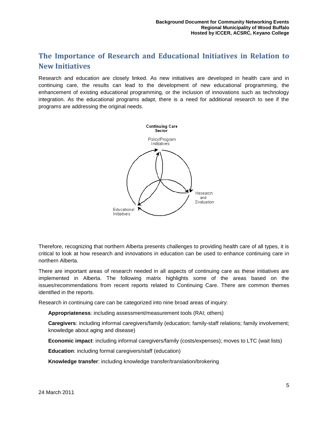## <span id="page-6-0"></span>**The Importance of Research and Educational Initiatives in Relation to New Initiatives**

Research and education are closely linked. As new initiatives are developed in health care and in continuing care, the results can lead to the development of new educational programming, the enhancement of existing educational programming, or the inclusion of innovations such as technology integration. As the educational programs adapt, there is a need for additional research to see if the programs are addressing the original needs.



Therefore, recognizing that northern Alberta presents challenges to providing health care of all types, it is critical to look at how research and innovations in education can be used to enhance continuing care in northern Alberta.

There are important areas of research needed in all aspects of continuing care as these initiatives are implemented in Alberta. The following matrix highlights some of the areas based on the issues/recommendations from recent reports related to Continuing Care. There are common themes identified in the reports.

Research in continuing care can be categorized into nine broad areas of inquiry:

**Appropriateness**: including assessment/measurement tools (RAI; others)

**Caregivers**: including informal caregivers/family (education; family-staff relations; family involvement; knowledge about aging and disease)

**Economic impact**: including informal caregivers/family (costs/expenses); moves to LTC (wait lists)

**Education**: including formal caregivers/staff (education)

**Knowledge transfer**: including knowledge transfer/translation/brokering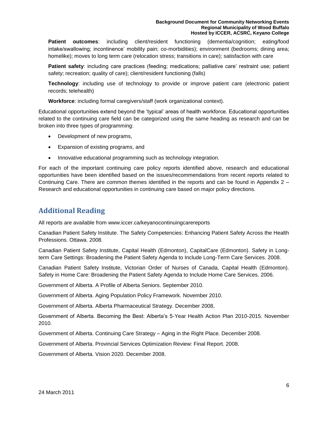#### **Background Document for Community Networking Events Regional Municipality of Wood Buffalo Hosted by ICCER, ACSRC, Keyano College**

**Patient outcomes**: including client/resident functioning (dementia/cognition; eating/food intake/swallowing; incontinence' mobility pain; co-morbidities); environment (bedrooms; dining area; homelike); moves to long term care (relocation stress; transitions in care); satisfaction with care

**Patient safety**: including care practices (feeding; medications; palliative care' restraint use; patient safety; recreation; quality of care); client/resident functioning (falls)

**Technology**: including use of technology to provide or improve patient care (electronic patient records; telehealth)

**Workforce**: including formal caregivers/staff (work organizational context).

Educational opportunities extend beyond the 'typical' areas of health workforce. Educational opportunities related to the continuing care field can be categorized using the same heading as research and can be broken into three types of programming:

- Development of new programs,
- Expansion of existing programs, and
- Innovative educational programming such as technology integration.

For each of the important continuing care policy reports identified above, research and educational opportunities have been identified based on the issues/recommendations from recent reports related to Continuing Care. There are common themes identified in the reports and can be found in Appendix 2 – Research and educational opportunities in continuing care based on major policy directions.

#### <span id="page-7-0"></span>**Additional Reading**

All reports are available from [www.iccer.ca/keyanocontinuingcarereports](http://www.iccer.ca/keyanocontinuingcarereports)

Canadian Patient Safety Institute. The Safety Competencies: Enhancing Patient Safety Across the Health Professions. Ottawa. 2008.

Canadian Patient Safety Institute, Capital Health (Edmonton), CapitalCare (Edmonton). Safety in Longterm Care Settings: Broadening the Patient Safety Agenda to Include Long-Term Care Services. 2008.

Canadian Patient Safety Institute, Victorian Order of Nurses of Canada, Capital Health (Edmonton). Safety in Home Care: Broadening the Patient Safety Agenda to Include Home Care Services. 2006.

Government of Alberta. A Profile of Alberta Seniors. September 2010.

Government of Alberta. Aging Population Policy Framework. November 2010.

Government of Alberta. Alberta Pharmaceutical Strategy. December 2008,

Government of Alberta. Becoming the Best: Alberta's 5-Year Health Action Plan 2010-2015. November 2010.

Government of Alberta. Continuing Care Strategy – Aging in the Right Place. December 2008.

Government of Alberta. Provincial Services Optimization Review: Final Report. 2008.

Government of Alberta. Vision 2020. December 2008.